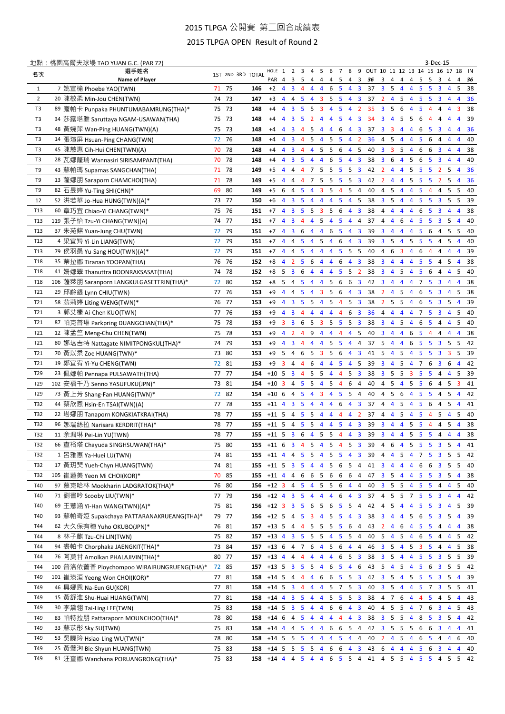## 2015 TLPGA 公開賽 第二回合成績表

2015 TLPGA OPEN Result of Round 2

|                 | <u>地點:桃園高爾夫球場 TAO YUAN G.C. (PAR 72)</u>   |    |       |                                                    |                          |                |                         |                |                |                          |                 |                         |                |                         |    |                         |                         |                |                   |                | 3-Dec-15                         |                         |                     |      |    |
|-----------------|--------------------------------------------|----|-------|----------------------------------------------------|--------------------------|----------------|-------------------------|----------------|----------------|--------------------------|-----------------|-------------------------|----------------|-------------------------|----|-------------------------|-------------------------|----------------|-------------------|----------------|----------------------------------|-------------------------|---------------------|------|----|
| 名次              | 選手姓名                                       |    |       | 1ST 2ND 3RD TOTAL                                  | HOLE 1 2 3 4 5           |                |                         |                |                |                          | $6\overline{6}$ | $7\overline{ }$         | 8              |                         |    |                         |                         |                |                   |                | 9 OUT 10 11 12 13 14 15 16 17 18 |                         |                     | IN   |    |
|                 | Name of Player                             |    |       |                                                    | PAR 4                    |                | 3                       | 5              | 4              | 4                        | 4               | 5                       | 4              | 3                       | 36 | 3                       | 4                       | 4              | 4                 | 5              | 5                                | 3<br>4                  | 4                   |      | 36 |
| $\mathbf{1}$    | 7 姚宣榆 Phoebe YAO(TWN)                      |    | 71 75 | 146                                                | $+2$                     | $\overline{4}$ | 3                       | -4             | 4              | 4                        | 6               | 5                       | 4              | 3                       | 37 | 3 <sub>5</sub>          |                         | 4              | $\overline{4}$    | 5              | 5                                | 3<br>$\overline{4}$     | 5                   |      | 38 |
| $\overline{2}$  | 20 陳敏柔 Min-Jou CHEN(TWN)                   |    | 74 73 | 147                                                | $+3$                     | $\overline{4}$ | 4                       | -5             | 4              | 3                        | 5               | 5                       | 4              | $\overline{\mathbf{3}}$ | 37 | $\mathbf{2}$            | $\overline{4}$          | 5              | $\overline{4}$    | 5              | -5                               | 3<br>$\overline{4}$     | 4                   |      | 36 |
| T3              | 89 龐帕卡 Punpaka PHUNTUMABAMRUNG(THA)*       |    | 75 73 | 148                                                | $+4$                     | 4              | 3                       | -5             | 5              | -3                       | 4               | 5                       | 4              | $\overline{2}$          | 35 | 3 <sup>1</sup>          | 5                       | 6              | $\overline{4}$    | 5              | 4                                | 4                       | 3<br>4              |      | 38 |
| T3              | 34 莎露塔雅 Saruttaya NGAM-USAWAN(THA)         |    | 75 73 | 148                                                | $+4$                     | $\overline{4}$ | 3 <sub>5</sub>          |                | $\overline{2}$ | $\overline{4}$           | 4               | 5                       | 4              | $\overline{\mathbf{3}}$ | 34 | 3                       | $\overline{4}$          | 5              | - 5               | 6              | $\overline{4}$                   | 4                       | 4<br>4              |      | 39 |
| T3              | 48 黃婉萍 Wan-Ping HUANG(TWN)(A)              |    | 75 73 | 148                                                | $+4$                     | $\overline{4}$ | $\overline{\mathbf{3}}$ | -4             | 5              | $\overline{4}$           | 4               | 6                       | 4              | $\overline{\mathbf{3}}$ | 37 | 3 <sup>3</sup>          |                         | 4              | $\overline{4}$    | 6              | - 5                              | 3                       | $\overline{4}$<br>4 |      | 36 |
| T3              | 14 張瑄屏 Hsuan-Ping CHANG(TWN)               |    | 72 76 | 148                                                | $+4$                     | $\overline{4}$ | $\mathbf{3}$            | -4             | 5              | $\overline{4}$           | 5               | - 5                     | 4              | $\overline{2}$          | 36 | 4 5                     |                         | $\overline{4}$ | $\overline{4}$    | 5              | 6                                | 4                       | $\overline{4}$<br>4 |      | 40 |
| T3              | 45 陳慈惠 Cih-Hui CHEN(TWN)(A)                | 70 | 78    | 148                                                | $+4$                     | $\overline{4}$ | 3                       | $\overline{4}$ | 4              | 5                        | - 5             | 6                       | $\overline{4}$ | 5                       | 40 | 3 <sup>3</sup>          |                         | 5              | $\overline{4}$    | 6              | - 6                              | $\overline{\mathbf{3}}$ | 4<br>$\overline{4}$ |      | 38 |
| T3              | 28 瓦娜蕯瑞 Wannasiri SIRISAMPANT(THA)         | 70 | 78    | 148                                                | $+4$                     | $\overline{4}$ | $\mathbf{3}$            | -5             | 4              | $\overline{4}$           | 6               | 5                       | 4              | 3                       | 38 | 3 <sup>1</sup>          | 6                       | 4              | -5                | 6              | -5                               | 3<br>$\overline{4}$     | 4                   |      | 40 |
| T9              | 43 蘇帕瑪 Supamas SANGCHAN(THA)               | 71 | 78    | 149                                                | $+5$                     | $\overline{4}$ | $\overline{4}$          | $\overline{4}$ | 7              | -5                       | - 5             | -5                      | 5              | 3                       | 42 | $2^{\circ}$             | $\overline{4}$          | 4              | -5                | 5              | - 5                              | 2 <sub>5</sub>          | 4                   |      | 36 |
| T9              | 13 蕯娜朋 Saraporn CHAMCHOI(THA)              | 71 | 78    | 149                                                | $+5$                     | $\overline{4}$ | $\overline{4}$          | $\overline{4}$ | 7              | -5                       | -5              | 5                       | 5              | 3                       | 42 | $2 \quad 4$             |                         | $\overline{4}$ | -5                | 5              | - 5                              | $\mathbf{2}$<br>-5      | 4                   |      | 36 |
| T9              | 82 石昱婷 Yu-Ting SHI(CHN)*                   | 69 | 80    | 149                                                | $+5$                     | 6              | $\overline{4}$          | - 5            | 4              | 3                        | -5              | 4                       | 5              | $\overline{4}$          | 40 | 4 5                     |                         | $4\quad 4$     |                   | 5              | $\overline{4}$                   | -5<br>4                 | 5                   |      | 40 |
| 12              | 52 洪若華 Jo-Hua HUNG(TWN)(A)*                |    | 73 77 | 150                                                | $+6$                     | $\overline{4}$ | 3 <sub>5</sub>          |                |                | $4\quad 4$               | $\overline{4}$  | 5                       | 4              | 5                       | 38 | 3 <sub>5</sub>          |                         | $4\quad 4$     |                   | 5              | $\sqrt{5}$                       | 3 <sub>5</sub>          | 5                   |      | 39 |
| T13             | 60 章巧宜 Chiao-Yi CHANG(TWN)*                |    | 75 76 | 151                                                | $+7$                     | $\overline{4}$ |                         | 3 <sub>5</sub> | 5              | $3\quad 5\quad 6$        |                 |                         | 4              | $\overline{\mathbf{3}}$ | 38 | $4\overline{4}$         |                         | $4\quad 4$     |                   | 6              | - 5                              | $3\quad 4$              | 4                   |      | 38 |
| T13             | 119 張子怡 Tzu-Yi CHANG(TWN)(A)               |    | 74 77 | 151                                                | $+7$                     | $\overline{4}$ |                         | $3 \quad 4$    | 4 <sub>5</sub> |                          | 4 5             |                         | $\overline{4}$ | 4                       | 37 | $4\quad 4$              |                         | 6              | $\overline{4}$    | 5              | - 5                              | 3 <sub>5</sub>          | 4                   |      | 40 |
|                 |                                            |    |       |                                                    |                          |                |                         |                |                |                          |                 |                         |                |                         |    |                         |                         |                |                   |                |                                  |                         |                     |      |    |
| T13             | 37 朱苑鎔 Yuan-Jung CHU(TWN)                  |    | 72 79 | 151                                                | $+7$                     | $\overline{4}$ | $3\quad 6$              |                | $4\quad 4$     |                          | 6               | $\sqrt{5}$              | $\overline{4}$ | 3                       | 39 | $\mathbf{3}$            | $\overline{4}$          | $4\quad 4$     |                   | 5              | - 6                              | 45                      | 5                   |      | 40 |
| T13             | 4 梁宜羚 Yi-Lin LIANG(TWN)                    |    | 72 79 | 151                                                | $+7$                     | $\overline{4}$ | 4 <sub>5</sub>          |                | 4              | - 5                      | $\overline{4}$  | 6                       | $\overline{4}$ | 3                       | 39 | 3 <sub>5</sub>          |                         | 4 <sub>5</sub> |                   | 5              | - 5                              | 4 5                     | 4                   |      | 40 |
| T13             | 79 侯羽桑 Yu-Sang HOU(TWN)(A)*                |    | 72 79 | 151                                                | $+7$                     | $\overline{4}$ | 4 <sub>5</sub>          |                | 4              | $\overline{4}$           | $\overline{4}$  | 5                       | 5              | 5                       | 40 | 4                       | 6                       | 3              | $\overline{4}$    | 6              | -4                               | 4<br>$\overline{4}$     | 4                   |      | 39 |
| T18             | 35 蒂拉娜 Tiranan YOOPAN(THA)                 |    | 76 76 | 152                                                | $+8$                     | $\overline{4}$ | 2 <sub>5</sub>          |                | 6              | $\overline{4}$           | $\overline{4}$  | 6                       | 4              | 3                       | 38 | $\mathbf{3}$            | $\overline{4}$          | 4              | $\overline{4}$    | 5              | -5                               | -5<br>4                 | 4                   |      | 38 |
| T <sub>18</sub> | 41 姍娜翠 Thanuttra BOONRAKSASAT(THA)         |    | 74 78 | 152                                                | $+8$                     | - 5            | 36                      |                | 4              | $\overline{4}$           | $\overline{4}$  | 5                       | -5             | $\overline{2}$          | 38 | $\mathbf{3}$            | $\overline{4}$          | 5              | $\overline{4}$    | 5              | 6                                | $\overline{4}$          | $\overline{4}$<br>5 |      | 40 |
| T18             | 106 薩萊朋 Saranporn LANGKULGASETTRIN(THA)*   |    | 72 80 | 152                                                | $+8$                     | - 5            | $4\quad 5$              |                |                | $4\quad 4$               | 5               | $6\phantom{.}6$         | 6              | $\overline{\mathbf{3}}$ | 42 | $\overline{\mathbf{3}}$ | $\overline{4}$          | $4\quad 4$     |                   | 7              | - 5                              | 3                       | 4<br>$\overline{4}$ |      | 38 |
| T21             | 29 邱齡緹 Lynn CHIU(TWN)                      | 77 | - 76  | 153                                                | +9                       | $\overline{4}$ | 4 5                     |                | 4              | 3 5 6                    |                 |                         | $\overline{4}$ | $\overline{\mathbf{3}}$ | 38 | $\overline{2}$          | $\overline{4}$          | 5              | $\overline{4}$    | 6              | - 5                              | $3\quad 4$              | 5                   |      | 38 |
| T21             | 58 翁莉婷 Liting WENG(TWN)*                   |    | 76 77 | 153                                                | +9                       | $\overline{4}$ | 3 <sub>5</sub>          |                | 5              | 4 5                      |                 | $\overline{4}$          | 5              | $\overline{\mathbf{3}}$ | 38 |                         |                         | 2 5 5 4 6      |                   |                | - 5                              | 3 <sub>5</sub>          | 4                   |      | 39 |
| T21             | 3 郭艾榛 Ai-Chen KUO(TWN)                     |    | 77 76 | 153                                                | $+9$                     | $\overline{4}$ | $3 \quad 4$             |                | 4              | 4                        | $\overline{4}$  | 4                       | 6              | 3                       | 36 | $4\overline{4}$         |                         | $4\quad 4$     |                   | 7              | - 5                              | $3 \quad 4$             | 5                   |      | 40 |
| T21             | 87 帕克普琳 Parkpring DUANGCHAN(THA)*          | 75 | 78    | 153                                                | $+9$                     | 3              | $\mathbf{3}$            | - 6            | 5              | $\overline{\mathbf{3}}$  | - 5             | $\overline{\mathbf{5}}$ | -5             | 3                       | 38 | $3 \quad 4$             |                         | 5              | $\overline{4}$    | 6              | - 5                              | 44                      | 5                   |      | 40 |
| T21             | 12 陳孟竺 Meng-Chu CHEN(TWN)                  | 75 | 78    | 153                                                | $+9$                     | $\overline{4}$ | $\overline{2}$          | $\overline{4}$ | 9              | 4                        | $\overline{4}$  | 4                       | 4              | 5                       | 40 | $\mathbf{3}$            | $\overline{4}$          | 4              | 6                 | 5              | -4                               | 4<br>$\overline{4}$     | 4                   |      | 38 |
| T21             | 80 娜塔吉特 Nattagate NIMITPONGKUL(THA)*       |    | 74 79 | 153                                                | $+9$                     | $\overline{4}$ | 3                       | $\overline{4}$ | 4              | $\overline{4}$           | 5               | 5                       | 4              | 4                       | 37 | 5                       | $\overline{4}$          | 4              | 6                 | 5              | -5                               | -5<br>3                 | 5                   |      | 42 |
| T21             | 70 黃以柔 Zoe HUANG(TWN)*                     |    | 73 80 | 153                                                | $+9$                     | 5              | $\overline{4}$          | - 6            | 5              | 3                        | 5               | 6                       | 4              | $\overline{3}$          | 41 | 5                       | 4                       | 5              | $\overline{4}$    | 5              | 5                                | 3                       | 5<br>3              |      | 39 |
| T21             | 19 鄭宜宥 Yi-Yu CHENG(TWN)                    |    | 72 81 | 153                                                | $+9$                     | $\overline{3}$ | $\overline{4}$          | $\overline{4}$ | 6              | $\overline{4}$           | $\overline{4}$  | 5                       | $\overline{4}$ | 5                       | 39 | $\overline{\mathbf{3}}$ | 4                       | 5              | $\overline{4}$    | $\overline{7}$ | 6                                | $\overline{3}$<br>6     | $\overline{4}$      |      | 42 |
| T29             | 23 佩娜帕 Pennapa PULSAWATH(THA)              |    | 77 77 | 154                                                | $+10.5$                  |                |                         | $3 \quad 4$    | 5              | 5                        | $\overline{4}$  | $\overline{4}$          | 5              | $\overline{\mathbf{3}}$ | 38 | 3 <sup>1</sup>          | 5                       | 5              | 3                 | 5              | 5                                | 4                       | $\overline{4}$<br>5 |      | 39 |
| T29             | 102 安福千乃 Senno YASUFUKU(JPN)*              |    | 73 81 | 154                                                | $+10$ 3                  |                | $\overline{4}$          | - 5            | 5              | $\overline{4}$           | 5               | $\overline{4}$          | 6              | 4                       | 40 | 4 <sub>5</sub>          |                         | $\overline{4}$ | 5                 | 5              | 6                                | $\overline{4}$<br>5     | 3                   |      | 41 |
|                 |                                            |    | 72 82 |                                                    | $+106$                   |                | $\overline{4}$          | - 5            | 4              | 3                        |                 | 5                       | 5              | $\overline{4}$          | 40 | 4 <sub>5</sub>          |                         | 6              | $\overline{4}$    | 5              | 5                                | 4 <sub>5</sub>          | 4                   |      |    |
| T29             | 73 黃上芳 Shang-Fan HUANG(TWN)*               |    |       | 154                                                |                          |                |                         |                |                |                          | 4               |                         |                |                         |    |                         |                         |                |                   |                |                                  |                         |                     |      | 42 |
| T32             | 44 蔡欣恩 Hsin-En TSAI(TWN)(A)                | 77 | 78    | 155                                                | $+11$ 4                  |                | 3 <sub>5</sub>          |                | 4              | $\overline{4}$           | $\overline{4}$  | 6                       | $\overline{4}$ | $\overline{\mathbf{3}}$ | 37 | $\overline{4}$          | $\overline{4}$          | 5              | $\overline{4}$    | 5              | 6                                | $\overline{4}$<br>-5    | 4                   |      | 41 |
| T32             | 22 塔娜朋 Tanaporn KONGKIATKRAI(THA)          |    | 78 77 | 155                                                | $+11$ 5                  |                | $\overline{4}$          | -5             | 5              | $\overline{4}$           | $\overline{4}$  | $\overline{4}$          | $\overline{4}$ | $\overline{2}$          | 37 | $\overline{4}$          | $\overline{4}$          | 5              | $\overline{4}$    | 5              | 4                                | 5                       | $\overline{4}$<br>5 |      | 40 |
| T32             | 96 娜瑞絲拉 Narisara KERDRIT(THA)*             | 78 | 77    | 155                                                | $+11$ 5                  |                | 4                       | 5              | 5              | $\overline{4}$           | 4               | 5                       | 4              | 3                       | 39 | $\overline{3}$          | $\overline{4}$          | 4              | 5                 | 5              | 4                                | 4                       | 5<br>4              |      | 38 |
| T32             | 11 余珮琳 Pei-Lin YU(TWN)                     |    | 78 77 | 155                                                | $+11$ 5                  |                | $\overline{3}$          | - 6            | 4              | 5                        | 5               | $\overline{4}$          | $\overline{4}$ | $\overline{3}$          | 39 | $\overline{\mathbf{3}}$ | $\overline{4}$          | $\overline{4}$ | 5                 | 5              | $\overline{5}$                   | $\overline{4}$          | $\overline{4}$<br>4 |      | 38 |
| T32             | 66 查裕塔 Chayuda SINGHSUWAN(THA)*            |    | 75 80 | 155                                                | +11 6 3 4 5 4 5 4 5 3 39 |                |                         |                |                |                          |                 |                         |                |                         |    | 4 6                     |                         | 4 <sub>5</sub> |                   | 5 <sub>5</sub> |                                  | 3 <sub>5</sub>          | 4                   |      | 41 |
| T32             | 1 呂雅惠 Ya-Huei LU(TWN)                      |    | 74 81 | 155                                                | $+11$ 4                  |                | 4                       | -5             | 5              | 4                        | 5               | 5                       | 4              | 3                       | 39 | 4                       | 4                       | 5              | $\overline{4}$    | 7              | 5                                | 3                       | -5<br>5             |      | 42 |
| T32             | 17 黃玥珡 Yueh-Chyn HUANG(TWN)                |    | 74 81 | 155                                                | +11 5 3 5 4 4 5 6 5 4 41 |                |                         |                |                |                          |                 |                         |                |                         |    | $3 \quad 4$             |                         |                | $4\quad 4\quad 6$ |                | - 6                              |                         | $3\quad 5\quad 5$   | - 40 |    |
| T32             | 105 崔蓮美 Yeon Mi CHOI(KOR)*                 |    | 70 85 | 155                                                | $+11$ 4 4 6              |                |                         |                |                | 6 5 6                    |                 | 6 6                     |                | 4                       | 47 | 3 <sub>5</sub>          |                         | $4\quad 4$     |                   | 5 <sub>5</sub> |                                  | 3 <sub>5</sub>          | 4                   |      | 38 |
| T40             | 97 慕克哈林 Mookharin LADGRATOK(THA)*          |    | 76 80 | 156                                                | $+12$ 3                  |                | $4\overline{5}$         |                | 4              | $5\quad 5\quad 6\quad 4$ |                 |                         |                | $\overline{4}$          | 40 |                         | 3 <sub>5</sub>          | $5\quad 4$     |                   | 5              | $\sqrt{5}$                       | 4                       | $\overline{4}$<br>5 |      | 40 |
| T40             | 71 劉書吟 Scooby LIU(TWN)*                    |    | 77 79 | 156                                                | $+12$ 4                  |                | 3 <sub>5</sub>          |                | 4              | 4                        | $\overline{4}$  | 6                       | 4              | 3                       | 37 | 4 5                     |                         | 5 7            |                   | -5             | $-5$                             | $\overline{\mathbf{3}}$ | $\overline{4}$<br>4 |      | 42 |
| T40             | 69 王薏涵 Yi-Han WANG(TWN)(A)*                |    | 75 81 | 156                                                | $+12$ 3                  |                | 3 <sub>5</sub>          |                | 6              | $\overline{\phantom{0}}$ | 6               | 5 <sub>1</sub>          | 5 <sup>5</sup> | $\overline{4}$          | 42 | 4 5                     |                         | $4\quad 4$     |                   | 5              | -5                               | $\mathbf{3}$            | $\overline{4}$<br>5 |      | 39 |
| T40             | 93 蘇帕奇婭 Supakchaya PATTARANAKRUEANG(THA)*  |    | 79 77 | 156                                                | $+12$ 5 4 5              |                |                         |                | 3              | $\overline{4}$           | 5               | $\overline{\mathbf{5}}$ | 4              | 3                       | 38 | $3 \quad 4$             |                         | 4 <sub>5</sub> |                   | 6              | - 5                              | 3 <sub>5</sub>          | $\overline{4}$      |      | 39 |
| T44             | 62 大久保有穗 Yuho OKUBO(JPN)*                  |    | 76 81 | 157                                                | $+13, 5$                 |                | $4\quad 4$              |                | 5              | 5                        | 5               | $\overline{\mathbf{5}}$ | 6              | $\overline{4}$          | 43 | $\overline{2}$          | 4                       | $6\quad 4$     |                   | 5              | - 5                              | 4                       | $\overline{4}$<br>4 |      | 38 |
| T44             | 8 林子麒 Tzu-Chi LIN(TWN)                     |    | 75 82 | 157                                                | $+13$ 4                  |                |                         | 3 <sub>5</sub> | 5              | $5\overline{5}$          | $\overline{4}$  | 5 <sub>5</sub>          |                | 4                       | 40 | 5                       | 4                       |                | $5\quad 4\quad 6$ |                | $-5$                             | 4                       | $\overline{4}$<br>5 |      | 42 |
| T44             | 94 裘帕卡 Chorphaka JAENGKIT(THA)*            |    | 73 84 | 157                                                | $+13$ 6 4 7              |                |                         |                | 6              | $\overline{4}$           | 5 6             |                         | $\overline{4}$ | $\overline{4}$          | 46 | 3 <sub>5</sub>          |                         | 4 <sub>5</sub> |                   | 3              | $-5$                             | 4                       | $\overline{4}$<br>5 |      | 38 |
| T44             | 76 阿莫甘 Amolkan PHALAJIVIN(THA)*            |    | 80 77 | 157                                                | $+13$ 4                  |                | $4\quad 4$              |                | 4              | 4                        | $\overline{4}$  | 6 5                     |                | $\overline{\mathbf{3}}$ | 38 | 3 <sub>5</sub>          |                         | $4\quad 4$     |                   | 5              | $-5$                             | $3\quad 5$              | 5                   |      | 39 |
| T44             | 100 普洛依薔普 Ploychompoo WIRAIRUNGRUENG(THA)* |    | 72 85 | 157                                                | $+13, 5$                 |                |                         | 3 <sub>5</sub> | 5              | $\overline{4}$           | 6               | $\overline{\mathbf{5}}$ | 4              | 6                       | 43 | 5                       | $\overline{\mathbf{4}}$ | $5\quad 4$     |                   | 5              | - 6                              |                         | 3 5 5 42            |      |    |
| T49             |                                            |    | 77 81 | 158                                                | $+14$ 5                  |                | $4\quad 4$              |                | 4              | 6                        | 6               | 5 <sup>5</sup>          | 5              | $\overline{\mathbf{3}}$ | 42 | 3 <sub>5</sub>          |                         | 4 <sub>5</sub> |                   | 5              |                                  | 3 <sub>5</sub>          | 4                   |      |    |
|                 | 101 崔瑛洹 Yeong Won CHOI(KOR)*               |    |       |                                                    |                          |                |                         |                |                |                          |                 |                         |                |                         |    |                         |                         |                |                   |                | $-5$                             |                         |                     |      | 39 |
| T49             | 46 具娜恩 Na-Eun GU(KOR)                      |    | 77 81 | 158                                                | $+14$ 5                  |                |                         | $3 \quad 4$    | 4              | $\overline{4}$           | 5               | $\overline{7}$          | 5              | 3                       | 40 | 3 <sub>5</sub>          |                         | $4\quad 4$     |                   | 5              | $\overline{7}$                   | 3 <sub>5</sub>          | 5                   | 41   |    |
| T49             | 15 黃舒淮 Shu-Huai HUANG(TWN)                 |    | 77 81 | 158                                                | $+14$ 4                  |                |                         | 3 <sub>5</sub> | 4              | 4                        | 5               | 5 <sup>5</sup>          | 5              | $\overline{\mathbf{3}}$ | 38 | 4 7                     |                         | $6\quad 4$     |                   | $\overline{4}$ | -5                               | - 5<br>4                | 4                   |      | 43 |
| T49             | 30 李黛翎 Tai-Ling LEE(TWN)                   |    | 75 83 | 158                                                | $+14$ 5                  |                | 3 <sub>5</sub>          |                | 4              | $\overline{4}$           | 6               | 6                       | 4              | $\overline{\mathbf{3}}$ | 40 | 4 5                     |                         |                |                   | 5 4 7 6        |                                  | $\overline{\mathbf{3}}$ | $\overline{4}$<br>5 |      | 43 |
| T49             | 83 帕特拉朋 Pattaraporn MOUNCHOO(THA)*         |    | 78 80 | 158                                                | $+14$ 6                  |                | $4\quad 5$              |                | 4              | $\overline{4}$           | $\overline{4}$  | 4                       | 4              | 3                       | 38 | $3 \quad 5$             |                         | $5\quad 4$     |                   | 8              | $-5$                             | 3 <sub>5</sub>          | 4                   |      | 42 |
| T49             | 33 蘇苡彤 Sky SU(TWN)                         |    | 75 83 | 158                                                | $+14$ 4                  |                | $4\quad 5$              |                | 4              | $\overline{4}$           | 6               | 6 5                     |                | $\overline{4}$          | 42 |                         | 3 <sub>5</sub>          | 5 <sub>5</sub> |                   | 6              | - 6                              | $\overline{\mathbf{3}}$ | $\overline{4}$<br>4 |      | 41 |
| T49             | 53 吳曉玲 Hsiao-Ling WU(TWN)*                 |    | 78 80 | 158                                                | $+14$ 5                  |                | $5\quad 5$              |                | $\overline{4}$ | $\overline{4}$           | $\overline{4}$  | $5\quad 4$              |                | $\overline{4}$          | 40 | $\overline{2}$          | 4                       | $5\quad 4$     |                   | 6              | $-5$                             | 4                       | $\overline{4}$<br>6 |      | 40 |
| T49             | 25 黃璧洵 Bie-Shyun HUANG(TWN)                |    | 75 83 | 158                                                | $+14$ 5                  |                | $5\quad 5$              |                | 5              | $\overline{4}$           | 6               | 6                       | 4              | $\overline{\mathbf{3}}$ | 43 | 6                       | $\overline{4}$          | $\overline{4}$ | $\overline{4}$    | 5              | 6                                | $\overline{\mathbf{3}}$ | $\overline{4}$<br>4 |      | 40 |
| T49             | 81 汪查娜 Wanchana PORUANGRONG(THA)*          |    | 75 83 | 158 +14 4 4 5 4 4 6 5 5 4 41 4 5 5 4 5 5 4 5 5 4 2 |                          |                |                         |                |                |                          |                 |                         |                |                         |    |                         |                         |                |                   |                |                                  |                         |                     |      |    |